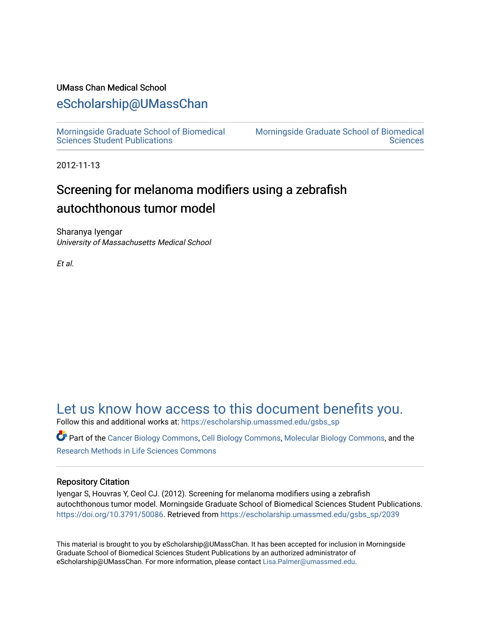## UMass Chan Medical School

# [eScholarship@UMassChan](https://escholarship.umassmed.edu/)

[Morningside Graduate School of Biomedical](https://escholarship.umassmed.edu/gsbs_sp)  [Sciences Student Publications](https://escholarship.umassmed.edu/gsbs_sp) 

[Morningside Graduate School of Biomedical](https://escholarship.umassmed.edu/gsbs)  **Sciences** 

2012-11-13

# Screening for melanoma modifiers using a zebrafish autochthonous tumor model

Sharanya Iyengar University of Massachusetts Medical School

Et al.

# [Let us know how access to this document benefits you.](https://arcsapps.umassmed.edu/redcap/surveys/?s=XWRHNF9EJE)

Follow this and additional works at: [https://escholarship.umassmed.edu/gsbs\\_sp](https://escholarship.umassmed.edu/gsbs_sp?utm_source=escholarship.umassmed.edu%2Fgsbs_sp%2F2039&utm_medium=PDF&utm_campaign=PDFCoverPages)

Part of the [Cancer Biology Commons,](http://network.bepress.com/hgg/discipline/12?utm_source=escholarship.umassmed.edu%2Fgsbs_sp%2F2039&utm_medium=PDF&utm_campaign=PDFCoverPages) [Cell Biology Commons,](http://network.bepress.com/hgg/discipline/10?utm_source=escholarship.umassmed.edu%2Fgsbs_sp%2F2039&utm_medium=PDF&utm_campaign=PDFCoverPages) [Molecular Biology Commons](http://network.bepress.com/hgg/discipline/5?utm_source=escholarship.umassmed.edu%2Fgsbs_sp%2F2039&utm_medium=PDF&utm_campaign=PDFCoverPages), and the [Research Methods in Life Sciences Commons](http://network.bepress.com/hgg/discipline/1385?utm_source=escholarship.umassmed.edu%2Fgsbs_sp%2F2039&utm_medium=PDF&utm_campaign=PDFCoverPages) 

## Repository Citation

Iyengar S, Houvras Y, Ceol CJ. (2012). Screening for melanoma modifiers using a zebrafish autochthonous tumor model. Morningside Graduate School of Biomedical Sciences Student Publications. <https://doi.org/10.3791/50086>. Retrieved from [https://escholarship.umassmed.edu/gsbs\\_sp/2039](https://escholarship.umassmed.edu/gsbs_sp/2039?utm_source=escholarship.umassmed.edu%2Fgsbs_sp%2F2039&utm_medium=PDF&utm_campaign=PDFCoverPages) 

This material is brought to you by eScholarship@UMassChan. It has been accepted for inclusion in Morningside Graduate School of Biomedical Sciences Student Publications by an authorized administrator of eScholarship@UMassChan. For more information, please contact [Lisa.Palmer@umassmed.edu](mailto:Lisa.Palmer@umassmed.edu).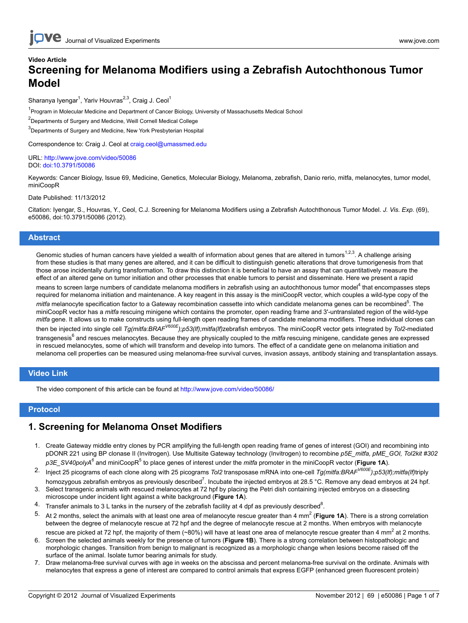## **Video Article Screening for Melanoma Modifiers using a Zebrafish Autochthonous Tumor Model**

Sharanya Iyengar<sup>1</sup>, Yariv Houvras<sup>2,3</sup>, Craig J. Ceol<sup>1</sup>

<sup>1</sup> Program in Molecular Medicine and Department of Cancer Biology, University of Massachusetts Medical School

<sup>2</sup>Departments of Surgery and Medicine, Weill Cornell Medical College

<sup>3</sup>Departments of Surgery and Medicine, New York Presbyterian Hospital

Correspondence to: Craig J. Ceol at [craig.ceol@umassmed.edu](mailto:craig.ceol@umassmed.edu)

URL:<http://www.jove.com/video/50086> DOI: [doi:10.3791/50086](http://dx.doi.org/10.3791/50086)

Keywords: Cancer Biology, Issue 69, Medicine, Genetics, Molecular Biology, Melanoma, zebrafish, Danio rerio, mitfa, melanocytes, tumor model, miniCoopR

Date Published: 11/13/2012

Citation: Iyengar, S., Houvras, Y., Ceol, C.J. Screening for Melanoma Modifiers using a Zebrafish Autochthonous Tumor Model. *J. Vis. Exp.* (69), e50086, doi:10.3791/50086 (2012).

### **Abstract**

Genomic studies of human cancers have yielded a wealth of information about genes that are altered in tumors<sup>1,2,3</sup>. A challenge arising from these studies is that many genes are altered, and it can be difficult to distinguish genetic alterations that drove tumorigenesis from that those arose incidentally during transformation. To draw this distinction it is beneficial to have an assay that can quantitatively measure the effect of an altered gene on tumor initiation and other processes that enable tumors to persist and disseminate. Here we present a rapid means to screen large numbers of candidate melanoma modifiers in zebrafish using an autochthonous tumor model<sup>4</sup> that encompasses steps required for melanoma initiation and maintenance. A key reagent in this assay is the miniCoopR vector, which couples a wild-type copy of the mitfa melanocyte specification factor to a Gateway recombination cassette into which candidate melanoma genes can be recombined<sup>5</sup>. The miniCoopR vector has a *mitfa* rescuing minigene which contains the promoter, open reading frame and 3'-untranslated region of the wild-type *mitfa* gene. It allows us to make constructs using full-length open reading frames of candidate melanoma modifiers. These individual clones can then be injected into single cell *Tg(mitfa:BRAFV600E);p53(lf);mitfa(lf)*zebrafish embryos. The miniCoopR vector gets integrated by *Tol2*-mediated transgenesis<sup>6</sup> and rescues melanocytes. Because they are physically coupled to the *mitfa* rescuing minigene, candidate genes are expressed in rescued melanocytes, some of which will transform and develop into tumors. The effect of a candidate gene on melanoma initiation and melanoma cell properties can be measured using melanoma-free survival curves, invasion assays, antibody staining and transplantation assays.

## **Video Link**

The video component of this article can be found at <http://www.jove.com/video/50086/>

## **Protocol**

## **1. Screening for Melanoma Onset Modifiers**

- 1. Create Gateway middle entry clones by PCR amplifying the full-length open reading frame of genes of interest (GOI) and recombining into pDONR 221 using BP clonase II (Invitrogen). Use Multisite Gateway technology (Invitrogen) to recombine *p5E\_mitfa, pME\_GOI, Tol2kit #302*  $p$ 3E\_SV40polyA<sup>6</sup> and miniCoopR<sup>5</sup> to place genes of interest under the *mitfa* promoter in the miniCoopR vector (**Figure 1A**).
- 2. Inject 25 picograms of each clone along with 25 picograms *Tol2* transposase mRNA into one-cell *Tg(mitfa:BRAFV600E);p53(lf);mitfa(lf)*triply homozygous zebrafish embryos as previously described<sup>7</sup>. Incubate the injected embryos at 28.5 °C. Remove any dead embryos at 24 hpf.
- 3. Select transgenic animals with rescued melanocytes at 72 hpf by placing the Petri dish containing injected embryos on a dissecting microscope under incident light against a white background (**Figure 1A**).
- 4. Transfer animals to 3 L tanks in the nursery of the zebrafish facility at 4 dpf as previously described<sup>8</sup>.
- <sup>5.</sup> At 2 months, select the animals with at least one area of melanocyte rescue greater than 4 mm<sup>2</sup> (Figure 1A). There is a strong correlation between the degree of melanocyte rescue at 72 hpf and the degree of melanocyte rescue at 2 months. When embryos with melanocyte rescue are picked at 72 hpf, the majority of them (~80%) will have at least one area of melanocyte rescue greater than 4 mm<sup>2</sup> at 2 months.
- 6. Screen the selected animals weekly for the presence of tumors (**Figure 1B**). There is a strong correlation between histopathologic and morphologic changes. Transition from benign to malignant is recognized as a morphologic change when lesions become raised off the surface of the animal. Isolate tumor bearing animals for study.
- 7. Draw melanoma-free survival curves with age in weeks on the abscissa and percent melanoma-free survival on the ordinate. Animals with melanocytes that express a gene of interest are compared to control animals that express EGFP (enhanced green fluorescent protein)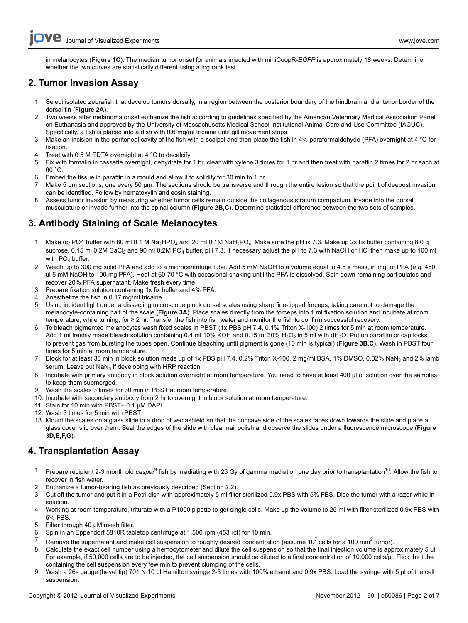in melanocytes (**Figure 1C**). The median tumor onset for animals injected with miniCoopR*-EGFP* is approximately 18 weeks. Determine whether the two curves are statistically different using a log rank test.

# **2. Tumor Invasion Assay**

- 1. Select isolated zebrafish that develop tumors dorsally, in a region between the posterior boundary of the hindbrain and anterior border of the dorsal fin (**Figure 2A**).
- 2. Two weeks after melanoma onset euthanize the fish according to guidelines specified by the American Veterinary Medical Association Panel on Euthanasia and approved by the University of Massachusetts Medical School Institutional Animal Care and Use Committee (IACUC). Specifically, a fish is placed into a dish with 0.6 mg/ml tricaine until gill movement stops.
- 3. Make an incision in the peritoneal cavity of the fish with a scalpel and then place the fish in 4% paraformaldehyde (PFA) overnight at 4 °C for fixation.
- 4. Treat with 0.5 M EDTA overnight at 4 °C to decalcify.
- 5. Fix with formalin in cassette overnight, dehydrate for 1 hr, clear with xylene 3 times for 1 hr and then treat with paraffin 2 times for 2 hr each at 60 °C.
- 6. Embed the tissue in paraffin in a mould and allow it to solidify for 30 min to 1 hr.<br>7. Make 5 um sections, one every 50 um. The sections should be transverse and t
- Make 5 μm sections, one every 50 μm. The sections should be transverse and through the entire lesion so that the point of deepest invasion can be identified. Follow by hematoxylin and eosin staining.
- 8. Assess tumor invasion by measuring whether tumor cells remain outside the collagenous stratum compactum, invade into the dorsal musculature or invade further into the spinal column (**Figure 2B,C**). Determine statistical difference between the two sets of samples.

# **3. Antibody Staining of Scale Melanocytes**

- 1. Make up PO4 buffer with 80 ml 0.1 M Na<sub>2</sub>HPO<sub>4</sub> and 20 ml 0.1M NaH<sub>2</sub>PO<sub>4</sub>. Make sure the pH is 7.3. Make up 2x fix buffer containing 8.0 g sucrose, 0.15 ml 0.2M CaCl<sub>2</sub> and 90 ml 0.2M PO<sub>4</sub> buffer, pH 7.3. If necessary adjust the pH to 7.3 with NaOH or HCl then make up to 100 ml with  $PO<sub>4</sub>$  buffer.
- 2. Weigh up to 300 mg solid PFA and add to a microcentrifuge tube. Add 5 mM NaOH to a volume equal to 4.5 x mass, in mg, of PFA (*e.g.* 450 ul 5 mM NaOH to 100 mg PFA). Heat at 60-70 °C with occasional shaking until the PFA is dissolved. Spin down remaining particulates and recover 20% PFA supernatant. Make fresh every time.
- 3. Prepare fixation solution containing 1x fix buffer and 4% PFA.
- 4. Anesthetize the fish in 0.17 mg/ml tricaine.
- 5. Using incident light under a dissecting microscope pluck dorsal scales using sharp fine-tipped forceps, taking care not to damage the melanocyte-containing half of the scale (**Figure 3A**). Place scales directly from the forceps into 1 ml fixation solution and incubate at room temperature, while turning, for ≥ 2 hr. Transfer the fish into fish water and monitor the fish to confirm successful recovery.
- 6. To bleach pigmented melanocytes wash fixed scales in PBST (1x PBS pH 7.4, 0.1% Triton X-100) 2 times for 5 min at room temperature. Add 1 ml freshly made bleach solution containing 0.4 ml 10% KOH and 0.15 ml 30% H<sub>2</sub>O<sub>2</sub> in 5 ml with dH<sub>2</sub>O. Put on parafilm or cap locks to prevent gas from bursting the tubes open. Continue bleaching until pigment is gone (10 min is typical) (**Figure 3B,C**). Wash in PBST four times for 5 min at room temperature.
- 7. Block for at least 30 min in block solution made up of 1x PBS pH 7.4, 0.2% Triton X-100, 2 mg/ml BSA, 1% DMSO, 0.02% NaN<sub>3</sub> and 2% lamb serum. Leave out NaN<sub>3</sub> if developing with HRP reaction.
- 8. Incubate with primary antibody in block solution overnight at room temperature. You need to have at least 400 μl of solution over the samples to keep them submerged.
- 9. Wash the scales 3 times for 30 min in PBST at room temperature.
- 10. Incubate with secondary antibody from 2 hr to overnight in block solution at room temperature.
- 11. Stain for 10 min with PBST+ 0.1 μM DAPI.
- 12. Wash 3 times for 5 min with PBST.
- 13. Mount the scales on a glass slide in a drop of vectashield so that the concave side of the scales faces down towards the slide and place a glass cover slip over them. Seal the edges of the slide with clear nail polish and observe the slides under a fluorescence microscope (**Figure 3D,E,F,G**).

# **4. Transplantation Assay**

- <sup>1</sup>. Prepare recipient 2-3 month old *casper<sup>9</sup>* fish by irradiating with 25 Gy of gamma irradiation one day prior to transplantation<sup>10</sup>. Allow the fish to recover in fish water.
- 2. Euthanize a tumor-bearing fish as previously described (Section 2.2).
- 3. Cut off the tumor and put it in a Petri dish with approximately 5 ml filter sterilized 0.9x PBS with 5% FBS. Dice the tumor with a razor while in solution.
- 4. Working at room temperature, triturate with a P1000 pipette to get single cells. Make up the volume to 25 ml with filter sterilized 0.9x PBS with 5% FBS.
- 5. Filter through 40 μM mesh filter.
- 6. Spin in an Eppendorf 5810R tabletop centrifuge at 1,500 rpm (453 rcf) for 10 min.
- 7. Remove the supernatant and make cell suspension to roughly desired concentration (assume 10<sup>7</sup> cells for a 100 mm<sup>3</sup> tumor).
- 8. Calculate the exact cell number using a hemocytometer and dilute the cell suspension so that the final injection volume is approximately 5 μl. For example, if 50,000 cells are to be injected, the cell suspension should be diluted to a final concentration of 10,000 cells/μl. Flick the tube containing the cell suspension every few min to prevent clumping of the cells.
- 9. Wash a 26s gauge (bevel tip) 701 N 10 μl Hamilton syringe 2-3 times with 100% ethanol and 0.9x PBS. Load the syringe with 5 μl of the cell suspension.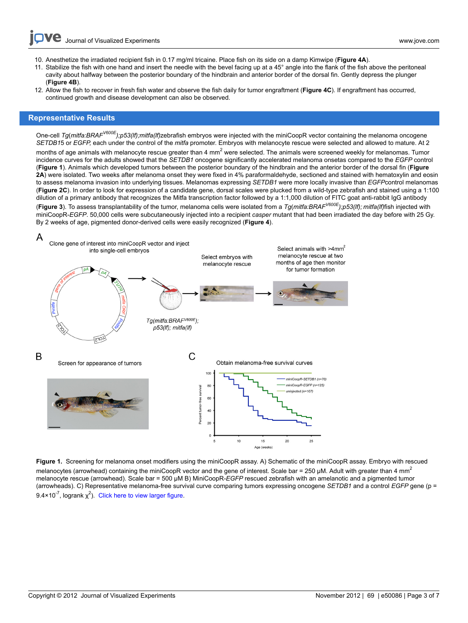- 10. Anesthetize the irradiated recipient fish in 0.17 mg/ml tricaine. Place fish on its side on a damp Kimwipe (**Figure 4A**).
- 11. Stabilize the fish with one hand and insert the needle with the bevel facing up at a  $45^\circ$  angle into the flank of the fish above the peritoneal cavity about halfway between the posterior boundary of the hindbrain and anterior border of the dorsal fin. Gently depress the plunger (**Figure 4B**).
- 12. Allow the fish to recover in fresh fish water and observe the fish daily for tumor engraftment (**Figure 4C**). If engraftment has occurred, continued growth and disease development can also be observed.

## **Representative Results**

One-cell *Tg*(*mitfa:BRAFV600E);p53(lf);mitfa(lf)*zebrafish embryos were injected with the miniCoopR vector containing the melanoma oncogene *SETDB1*5 or *EGFP,* each under the control of the *mitfa* promoter. Embryos with melanocyte rescue were selected and allowed to mature. At 2 months of age animals with melanocyte rescue greater than 4 mm<sup>2</sup> were selected. The animals were screened weekly for melanomas. Tumor incidence curves for the adults showed that the *SETDB1* oncogene significantly accelerated melanoma onsetas compared to the *EGFP* control (**Figure 1**). Animals which developed tumors between the posterior boundary of the hindbrain and the anterior border of the dorsal fin (**Figure 2A**) were isolated. Two weeks after melanoma onset they were fixed in 4% paraformaldehyde, sectioned and stained with hematoxylin and eosin to assess melanoma invasion into underlying tissues. Melanomas expressing *SETDB1* were more locally invasive than *EGFP*control melanomas (**Figure 2C**). In order to look for expression of a candidate gene, dorsal scales were plucked from a wild-type zebrafish and stained using a 1:100 dilution of a primary antibody that recognizes the Mitfa transcription factor followed by a 1:1,000 dilution of FITC goat anti-rabbit IgG antibody (**Figure 3**). To assess transplantability of the tumor, melanoma cells were isolated from a *Tg*(*mitfa:BRAFV600E);p53(lf); mitfa(lf)*fish injected with miniCoopR-*EGFP*. 50,000 cells were subcutaneously injected into a recipient *casper* mutant that had been irradiated the day before with 25 Gy. By 2 weeks of age, pigmented donor-derived cells were easily recognized (**Figure 4**).



**Figure 1.** Screening for melanoma onset modifiers using the miniCoopR assay. A) Schematic of the miniCoopR assay. Embryo with rescued melanocytes (arrowhead) containing the miniCoopR vector and the gene of interest. Scale bar = 250 µM. Adult with greater than 4 mm<sup>2</sup> melanocyte rescue (arrowhead). Scale bar = 500 μM B) MiniCoopR*-EGFP* rescued zebrafish with an amelanotic and a pigmented tumor (arrowheads). C) Representative melanoma-free survival curve comparing tumors expressing oncogene *SETDB1* and a control *EGFP* gene (p = 9.4×10<sup>-7</sup>, logrank  $\chi^2$ ). [Click here to view larger figure.](http://www.jove.com/files/ftp_upload/50086/50086fig1large.jpg)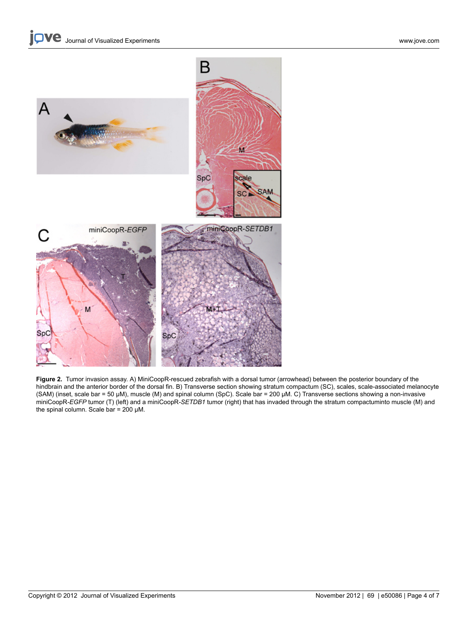

**Figure 2.** Tumor invasion assay. A) MiniCoopR-rescued zebrafish with a dorsal tumor (arrowhead) between the posterior boundary of the hindbrain and the anterior border of the dorsal fin. B) Transverse section showing stratum compactum (SC), scales, scale-associated melanocyte (SAM) (inset, scale bar = 50 μM), muscle (M) and spinal column (SpC). Scale bar = 200 μM. C) Transverse sections showing a non-invasive miniCoopR*-EGFP* tumor (T) (left) and a miniCoopR*-SETDB1* tumor (right) that has invaded through the stratum compactuminto muscle (M) and the spinal column. Scale bar =  $200 \mu M$ .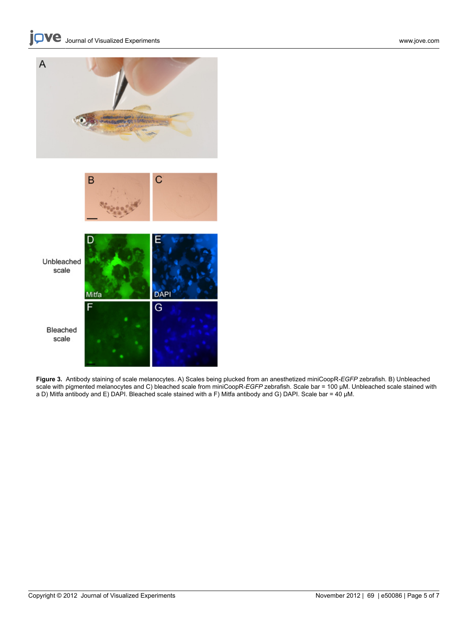

F Bleached scale

**Figure 3.** Antibody staining of scale melanocytes. A) Scales being plucked from an anesthetized miniCoopR*-EGFP* zebrafish. B) Unbleached scale with pigmented melanocytes and C) bleached scale from miniCoopR*-EGFP* zebrafish. Scale bar = 100 μM. Unbleached scale stained with a D) Mitfa antibody and E) DAPI. Bleached scale stained with a F) Mitfa antibody and G) DAPI. Scale bar = 40 μM.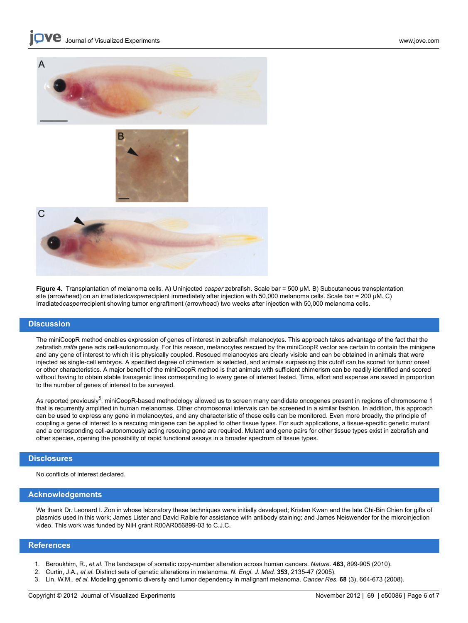

**Figure 4.** Transplantation of melanoma cells. A) Uninjected *casper* zebrafish. Scale bar = 500 μM. B) Subcutaneous transplantation site (arrowhead) on an irradiated*casper*recipient immediately after injection with 50,000 melanoma cells. Scale bar = 200 μM. C) Irradiated*casper*recipient showing tumor engraftment (arrowhead) two weeks after injection with 50,000 melanoma cells.

## **Discussion**

The miniCoopR method enables expression of genes of interest in zebrafish melanocytes. This approach takes advantage of the fact that the zebrafish *mitfa* gene acts cell-autonomously. For this reason, melanocytes rescued by the miniCoopR vector are certain to contain the minigene and any gene of interest to which it is physically coupled. Rescued melanocytes are clearly visible and can be obtained in animals that were injected as single-cell embryos. A specified degree of chimerism is selected, and animals surpassing this cutoff can be scored for tumor onset or other characteristics. A major benefit of the miniCoopR method is that animals with sufficient chimerism can be readily identified and scored without having to obtain stable transgenic lines corresponding to every gene of interest tested. Time, effort and expense are saved in proportion to the number of genes of interest to be surveyed.

As reported previously<sup>5</sup>, miniCoopR-based methodology allowed us to screen many candidate oncogenes present in regions of chromosome 1 that is recurrently amplified in human melanomas. Other chromosomal intervals can be screened in a similar fashion. In addition, this approach can be used to express any gene in melanocytes, and any characteristic of these cells can be monitored. Even more broadly, the principle of coupling a gene of interest to a rescuing minigene can be applied to other tissue types. For such applications, a tissue-specific genetic mutant and a corresponding cell-autonomously acting rescuing gene are required. Mutant and gene pairs for other tissue types exist in zebrafish and other species, opening the possibility of rapid functional assays in a broader spectrum of tissue types.

### **Disclosures**

No conflicts of interest declared.

### **Acknowledgements**

We thank Dr. Leonard I. Zon in whose laboratory these techniques were initially developed; Kristen Kwan and the late Chi-Bin Chien for gifts of plasmids used in this work; James Lister and David Raible for assistance with antibody staining; and James Neiswender for the microinjection video. This work was funded by NIH grant R00AR056899-03 to C.J.C.

### **References**

- 1. Beroukhim, R., *et al.* The landscape of somatic copy-number alteration across human cancers. *Nature.* **463**, 899-905 (2010).
- 2. Curtin, J.A., *et al.* Distinct sets of genetic alterations in melanoma. *N. Engl. J. Med.* **353**, 2135-47 (2005).
- 3. Lin, W.M., *et al.* Modeling genomic diversity and tumor dependency in malignant melanoma. *Cancer Res.* **68** (3), 664-673 (2008).